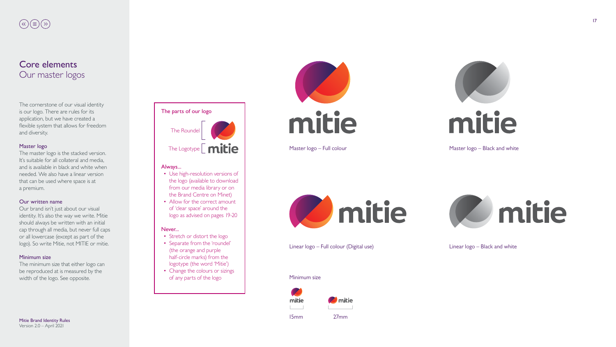17



# $(\text{K})\left(\equiv\right)\left(\text{N}\right)$

## Core elements Our master logos

The cornerstone of our visual identity is our logo. There are rules for its application, but we have created a flexible system that allows for freedom and diversity.

#### Master logo



The master logo is the stacked version. It's suitable for all collateral and media, and is available in black and white when needed. We also have a linear version that can be used where space is at a premium.

#### Our written name

Our brand isn't just about our visual identity. It's also the way we write. Mitie should always be written with an initial cap through all media, but never full caps or all lowercase (except as part of the logo). So write Mitie, not MITIE or mitie.

#### Minimum size

The minimum size that either logo can be reproduced at is measured by the width of the logo. See opposite.

Master logo – Full colour



Linear logo – Full colour (Digital use)



#### Minimum size





Master logo – Black and white



Linear logo – Black and white

15mm 27mm

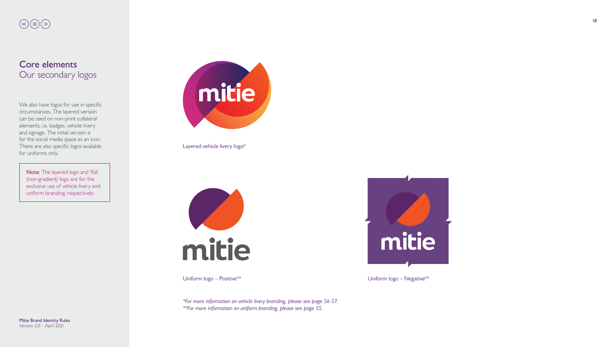18



# $\textcircled{\tiny{$\ast$}}\textcircled{\tiny{$\ast$}}\textcircled{\tiny{$\ast$}}\textcircled{\tiny{$\ast$}}$

## Core elements Our secondary logos

We also have logos for use in specific circumstances. The layered version can be used on non-print collateral elements, i.e. badges, vehicle livery and signage. The initial version is for the social media space as an icon. There are also specific logos available for uniforms only.

Note: The layered logo and 'flat' (non-gradient) logo are for the exclusive use of vehicle livery and uniform branding, respectively.



Layered vehicle livery logo\*



Uniform logo – Positive\*\*

*\*For more information on vehicle livery branding, please see page 56-57. \*\*For more information on uniform branding, please see page 55.*

Uniform logo – Negative\*\*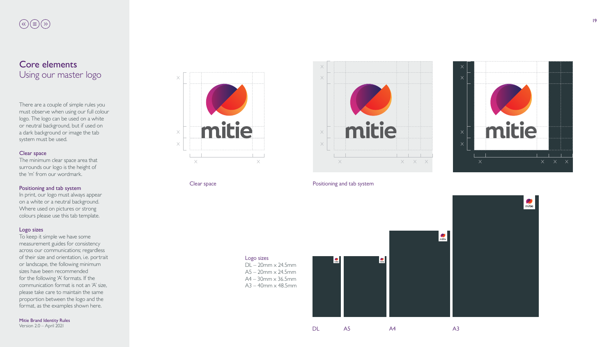19

Mitie Brand Identity Rules

Version 2.0 – April 2021

# $\bigotimes(\mathbb{E})\bigotimes(\mathbb{F})$

## Core elements Using our master logo

There are a couple of simple rules you must observe when using our full colour logo. The logo can be used on a white or neutral background, but if used on a dark background or image the tab system must be used.

#### Clear space

The minimum clear space area that surrounds our logo is the height of the 'm' from our wordmark.

#### Positioning and tab system

In print, our logo must always appear on a white or a neutral background. Where used on pictures or strong colours please use this tab template.

#### Logo sizes

To keep it simple we have some measurement guides for consistency across our communications; regardless of their size and orientation, i.e. portrait or landscape, the following minimum sizes have been recommended for the following 'A' formats. If the communication format is not an 'A' size, please take care to maintain the same proportion between the logo and the format, as the examples shown here.







### Clear space **Positioning and tab system**



DL A5 A4 A3

Logo sizes

DL – 20mm x 24.5mm A5 – 20mm x 24.5mm  $A4 - 30$ mm  $\times$  36.5mm A3 – 40mm x 48.5mm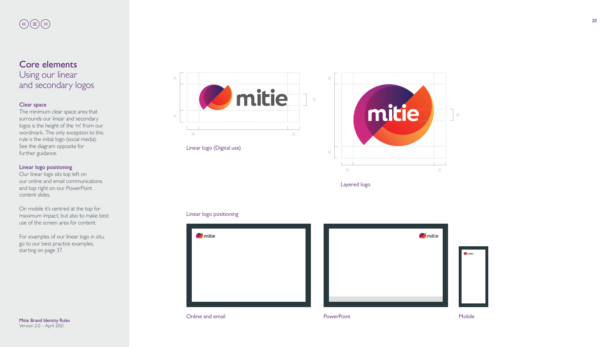





# $\textcircled{\tiny{$\ast$}}\textcircled{\tiny{$\ast$}}\textcircled{\tiny{$\ast$}}\textcircled{\tiny{$\ast$}}$

## Core elements Using our linear and secondary logos

### Clear space

The minimum clear space area that surrounds our linear and secondary logos is the height of the 'm' from our wordmark. The only exception to this rule is the initial logo (social media). See the diagram opposite for further guidance.

### Linear logo positioning

Our linear logo sits top left on our online and email communications and top right on our PowerPoint content slides.

On mobile it's centred at the top for maximum impact, but also to make best use of the screen area for content.

For examples of our linear logo in situ, go to our best practice examples, starting on page 37.

Linear logo (Digital use)

Layered logo



### Linear logo positioning



**Online and email Contract Contract Contract Contract Contract Contract Contract Contract Contract Contract Contract Contract Contract Contract Contract Contract Contract Contract Contract Contract Contract Contract Contra**